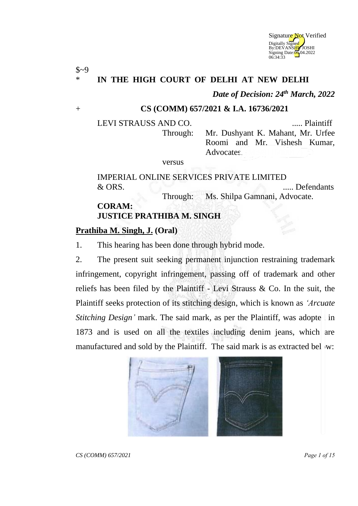

## \* **IN THE HIGH COURT OF DELHI AT NEW DELHI**

*Date of Decision: 24th March, 2022*

#### + **CS (COMM) 657/2021 & I.A. 16736/2021**

 $$~9$$ 

LEVI STRAUSS AND CO. ..... Plaintiff Through: Mr. Dushyant K. Mahant, Mr. Urfee Roomi and Mr. Vishesh Kumar, Advocates.

versus

# IMPERIAL ONLINE SERVICES PRIVATE LIMITED & ORS. ..... Defendants

Through: Ms. Shilpa Gamnani, Advocate.

#### **CORAM: JUSTICE PRATHIBA M. SINGH**

### **Prathiba M. Singh, J. (Oral)**

1. This hearing has been done through hybrid mode.

2. The present suit seeking permanent injunction restraining trademark infringement, copyright infringement, passing off of trademark and other reliefs has been filed by the Plaintiff - Levi Strauss & Co. In the suit, the Plaintiff seeks protection of its stitching design, which is known as *'Arcuate Stitching Design'* mark. The said mark, as per the Plaintiff, was adopted in 1873 and is used on all the textiles including denim jeans, which are manufactured and sold by the Plaintiff. The said mark is as extracted below:

*CS (COMM) 657/2021 Page 1 of 15*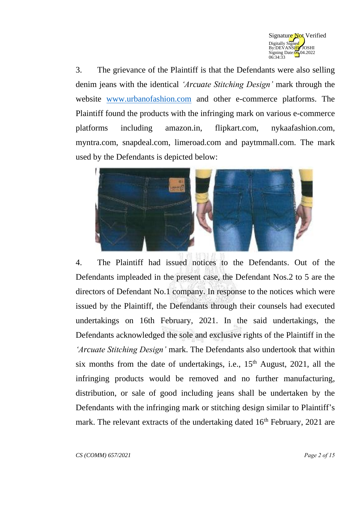

3. The grievance of the Plaintiff is that the Defendants were also selling denim jeans with the identical *'Arcuate Stitching Design'* mark through the website [www.urbanofashion.com](http://www.urbanofashion.com/) and other e-commerce platforms. The Plaintiff found the products with the infringing mark on various e-commerce platforms including amazon.in, flipkart.com, nykaafashion.com, myntra.com, snapdeal.com, limeroad.com and paytmmall.com. The mark used by the Defendants is depicted below:



4. The Plaintiff had issued notices to the Defendants. Out of the Defendants impleaded in the present case, the Defendant Nos.2 to 5 are the directors of Defendant No.1 company. In response to the notices which were issued by the Plaintiff, the Defendants through their counsels had executed undertakings on 16th February, 2021. In the said undertakings, the Defendants acknowledged the sole and exclusive rights of the Plaintiff in the *'Arcuate Stitching Design'* mark. The Defendants also undertook that within six months from the date of undertakings, i.e.,  $15<sup>th</sup>$  August, 2021, all the infringing products would be removed and no further manufacturing, distribution, or sale of good including jeans shall be undertaken by the Defendants with the infringing mark or stitching design similar to Plaintiff's mark. The relevant extracts of the undertaking dated  $16<sup>th</sup>$  February, 2021 are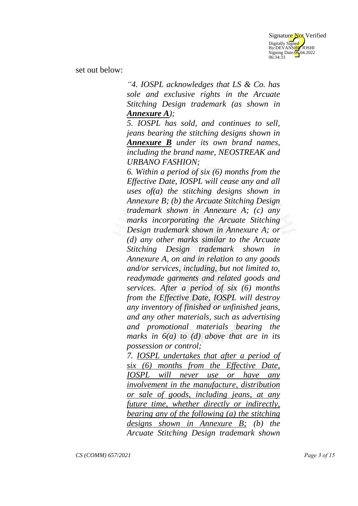

set out below:

*"4. IOSPL acknowledges that LS & Co. has sole and exclusive rights in the Arcuate Stitching Design trademark (as shown in Annexure A);*

*5. IOSPL has sold, and continues to sell, jeans bearing the stitching designs shown in Annexure B under its own brand names, including the brand name, NEOSTREAK and URBANO FASHION;*

*6. Within a period of six (6) months from the Effective Date, IOSPL will cease any and all uses of(a) the stitching designs shown in Annexure B; (b) the Arcuate Stitching Design trademark shown in Annexure A; (c) any marks incorporating the Arcuate Stitching Design trademark shown in Annexure A; or (d) any other marks similar to the Arcuate Stitching Design trademark shown in Annexure A, on and in relation to any goods and/or services, including, but not limited to, readymade garments and related goods and services. After a period of six (6) months from the Effective Date, IOSPL will destroy any inventory of finished or unfinished jeans, and any other materials, such as advertising and promotional materials bearing the marks in 6(a) to (d) above that are in its possession or control;*

*7. IOSPL undertakes that after a period of six (6) months from the Effective Date, IOSPL will never use or have any involvement in the manufacture, distribution or sale of goods, including jeans, at any future time, whether directly or indirectly, bearing any of the following (a) the stitching designs shown in Annexure B; (b) the Arcuate Stitching Design trademark shown*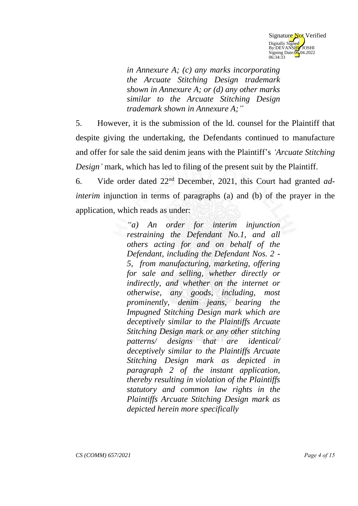

*in Annexure A; (c) any marks incorporating the Arcuate Stitching Design trademark shown in Annexure A; or (d) any other marks similar to the Arcuate Stitching Design trademark shown in Annexure A;"*

5. However, it is the submission of the ld. counsel for the Plaintiff that despite giving the undertaking, the Defendants continued to manufacture and offer for sale the said denim jeans with the Plaintiff's *'Arcuate Stitching Design'* mark, which has led to filing of the present suit by the Plaintiff.

6. Vide order dated 22nd December, 2021, this Court had granted *adinterim* injunction in terms of paragraphs (a) and (b) of the prayer in the application, which reads as under:

> *"a) An order for interim injunction restraining the Defendant No.1, and all others acting for and on behalf of the Defendant, including the Defendant Nos. 2 - 5, from manufacturing, marketing, offering for sale and selling, whether directly or indirectly, and whether on the internet or otherwise, any goods, including, most prominently, denim jeans, bearing the Impugned Stitching Design mark which are deceptively similar to the Plaintiffs Arcuate Stitching Design mark or any other stitching patterns/ designs that are identical/ deceptively similar to the Plaintiffs Arcuate Stitching Design mark as depicted in paragraph 2 of the instant application, thereby resulting in violation of the Plaintiffs statutory and common law rights in the Plaintiffs Arcuate Stitching Design mark as depicted herein more specifically*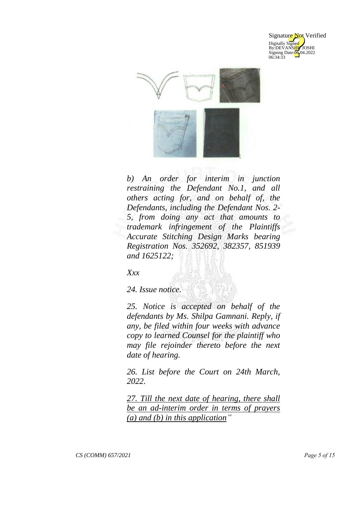



*b) An order for interim in junction restraining the Defendant No.1, and all others acting for, and on behalf of, the Defendants, including the Defendant Nos. 2- 5, from doing any act that amounts to trademark infringement of the Plaintiffs Accurate Stitching Design Marks bearing Registration Nos. 352692, 382357, 851939 and 1625122;*

*Xxx*

*24. Issue notice.* 

*25. Notice is accepted on behalf of the defendants by Ms. Shilpa Gamnani. Reply, if any, be filed within four weeks with advance copy to learned Counsel for the plaintiff who may file rejoinder thereto before the next date of hearing.* 

*26. List before the Court on 24th March, 2022.* 

*27. Till the next date of hearing, there shall be an ad-interim order in terms of prayers (a) and (b) in this application"*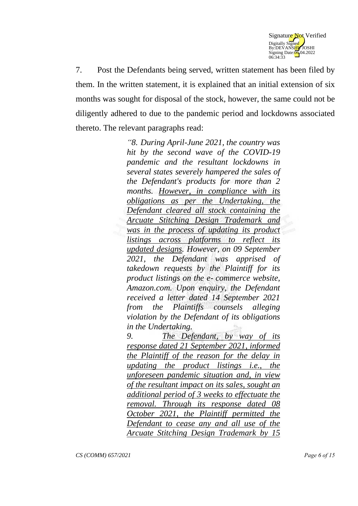

7. Post the Defendants being served, written statement has been filed by them. In the written statement, it is explained that an initial extension of six months was sought for disposal of the stock, however, the same could not be diligently adhered to due to the pandemic period and lockdowns associated thereto. The relevant paragraphs read:

> *"8. During April-June 2021, the country was hit by the second wave of the COVID-19 pandemic and the resultant lockdowns in several states severely hampered the sales of the Defendant's products for more than 2 months. However, in compliance with its obligations as per the Undertaking, the Defendant cleared all stock containing the Arcuate Stitching Design Trademark and was in the process of updating its product listings across platforms to reflect its updated designs. However, on 09 September 2021, the Defendant was apprised of takedown requests by the Plaintiff for its product listings on the e- commerce website, Amazon.com. Upon enquiry, the Defendant received a letter dated 14 September 2021 from the Plaintiffs counsels alleging violation by the Defendant of its obligations in the Undertaking.*

> *9. The Defendant, by way of its response dated 21 September 2021, informed the Plaintiff of the reason for the delay in updating the product listings i.e., the unforeseen pandemic situation and, in view of the resultant impact on its sales, sought an additional period of 3 weeks to effectuate the removal. Through its response dated 08 October 2021, the Plaintiff permitted the Defendant to cease any and all use of the Arcuate Stitching Design Trademark by 15*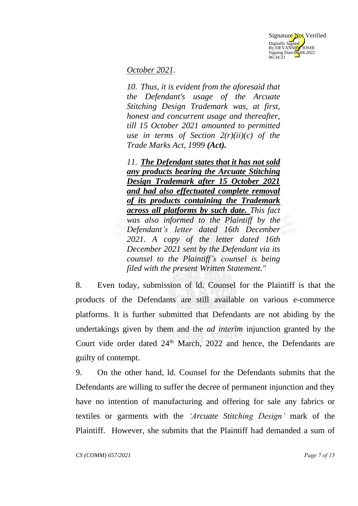

*October 2021.*

*10. Thus, it is evident from the aforesaid that the Defendant's usage of the Arcuate Stitching Design Trademark was, at first, honest and concurrent usage and thereafter, till 15 October 2021 amounted to permitted use in terms of Section 2(r)(ii)(c) of the Trade Marks Act, 1999 (Act).*

*11. The Defendant states that it has not sold any products bearing the Arcuate Stitching Design Trademark after 15 October 2021 and had also effectuated complete removal of its products containing the Trademark across all platforms by such date. This fact was also informed to the Plaintiff by the Defendant's letter dated 16th December 2021. A copy of the letter dated 16th December 2021 sent by the Defendant via its counsel to the Plaintiff's counsel is being filed with the present Written Statement."*

8. Even today, submission of ld. Counsel for the Plaintiff is that the products of the Defendants are still available on various e-commerce platforms. It is further submitted that Defendants are not abiding by the undertakings given by them and the *ad interim* injunction granted by the Court vide order dated  $24<sup>th</sup>$  March, 2022 and hence, the Defendants are guilty of contempt.

9. On the other hand, ld. Counsel for the Defendants submits that the Defendants are willing to suffer the decree of permanent injunction and they have no intention of manufacturing and offering for sale any fabrics or textiles or garments with the *'Arcuate Stitching Design'* mark of the Plaintiff. However, she submits that the Plaintiff had demanded a sum of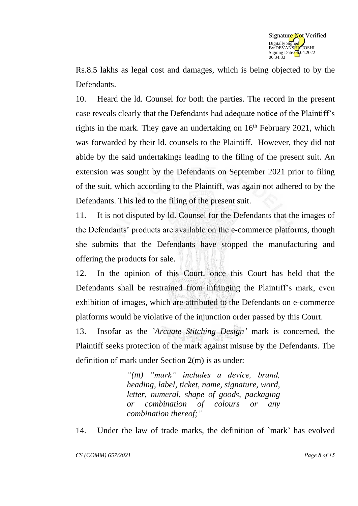

Rs.8.5 lakhs as legal cost and damages, which is being objected to by the Defendants.

10. Heard the ld. Counsel for both the parties. The record in the present case reveals clearly that the Defendants had adequate notice of the Plaintiff's rights in the mark. They gave an undertaking on  $16<sup>th</sup>$  February 2021, which was forwarded by their ld. counsels to the Plaintiff. However, they did not abide by the said undertakings leading to the filing of the present suit. An extension was sought by the Defendants on September 2021 prior to filing of the suit, which according to the Plaintiff, was again not adhered to by the Defendants. This led to the filing of the present suit.

11. It is not disputed by ld. Counsel for the Defendants that the images of the Defendants' products are available on the e-commerce platforms, though she submits that the Defendants have stopped the manufacturing and offering the products for sale.

12. In the opinion of this Court, once this Court has held that the Defendants shall be restrained from infringing the Plaintiff's mark, even exhibition of images, which are attributed to the Defendants on e-commerce platforms would be violative of the injunction order passed by this Court.

13. Insofar as the *`Arcuate Stitching Design'* mark is concerned, the Plaintiff seeks protection of the mark against misuse by the Defendants. The definition of mark under Section 2(m) is as under:

> *"(m) "mark" includes a device, brand, heading, label, ticket, name, signature, word, letter, numeral, shape of goods, packaging or combination of colours or any combination thereof;"*

14. Under the law of trade marks, the definition of `mark' has evolved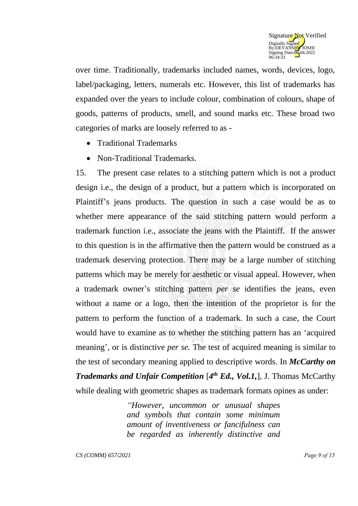

over time. Traditionally, trademarks included names, words, devices, logo, label/packaging, letters, numerals etc. However, this list of trademarks has expanded over the years to include colour, combination of colours, shape of goods, patterns of products, smell, and sound marks etc. These broad two categories of marks are loosely referred to as -

- Traditional Trademarks
- Non-Traditional Trademarks.

15. The present case relates to a stitching pattern which is not a product design i.e., the design of a product, but a pattern which is incorporated on Plaintiff's jeans products. The question in such a case would be as to whether mere appearance of the said stitching pattern would perform a trademark function i.e., associate the jeans with the Plaintiff. If the answer to this question is in the affirmative then the pattern would be construed as a trademark deserving protection. There may be a large number of stitching patterns which may be merely for aesthetic or visual appeal. However, when a trademark owner's stitching pattern *per se* identifies the jeans, even without a name or a logo, then the intention of the proprietor is for the pattern to perform the function of a trademark. In such a case, the Court would have to examine as to whether the stitching pattern has an 'acquired meaning', or is distinctive *per se.* The test of acquired meaning is similar to the test of secondary meaning applied to descriptive words. In *McCarthy on Trademarks and Unfair Competition* [*4 th Ed., Vol.1,*], J. Thomas McCarthy while dealing with geometric shapes as trademark formats opines as under:

> *"However, uncommon or unusual shapes and symbols that contain some minimum amount of inventiveness or fancifulness can be regarded as inherently distinctive and*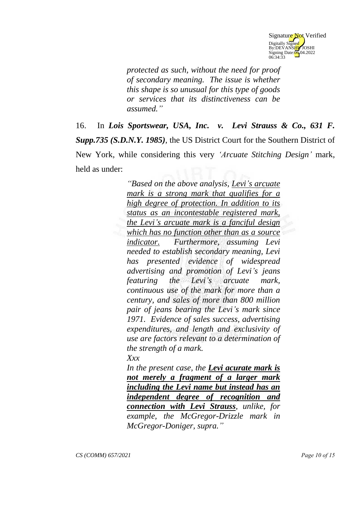

*protected as such, without the need for proof of secondary meaning. The issue is whether this shape is so unusual for this type of goods or services that its distinctiveness can be assumed."*

16. In *Lois Sportswear, USA, Inc. v. Levi Strauss & Co., 631 F. Supp.735 (S.D.N.Y. 1985)*, the US District Court for the Southern District of New York, while considering this very *'Arcuate Stitching Design'* mark, held as under:

> *"Based on the above analysis, Levi's arcuate mark is a strong mark that qualifies for a high degree of protection. In addition to its status as an incontestable registered mark, the Levi's arcuate mark is a fanciful design which has no function other than as a source indicator. Furthermore, assuming Levi needed to establish secondary meaning, Levi has presented evidence of widespread advertising and promotion of Levi's jeans featuring the Levi's arcuate mark, continuous use of the mark for more than a century, and sales of more than 800 million pair of jeans bearing the Levi's mark since 1971. Evidence of sales success, advertising expenditures, and length and exclusivity of use are factors relevant to a determination of the strength of a mark.*

*Xxx*

*In the present case, the Levi acurate mark is not merely a fragment of a larger mark including the Levi name but instead has an independent degree of recognition and connection with Levi Strauss, unlike, for example, the McGregor-Drizzle mark in McGregor-Doniger, supra."*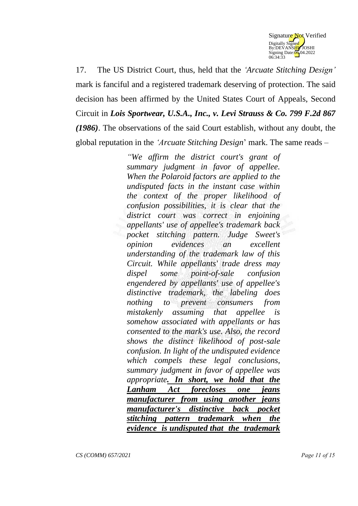

17. The US District Court, thus, held that the *'Arcuate Stitching Design'* mark is fanciful and a registered trademark deserving of protection. The said decision has been affirmed by the United States Court of Appeals, Second Circuit in *Lois Sportwear, U.S.A., Inc., v. Levi Strauss & Co. 799 F.2d 867 (1986)*. The observations of the said Court establish, without any doubt, the global reputation in the *'Arcuate Stitching Design*' mark. The same reads –

> *"We affirm the district court's grant of summary judgment in favor of appellee. When the Polaroid factors are applied to the undisputed facts in the instant case within the context of the proper likelihood of confusion possibilities, it is clear that the district court was correct in enjoining appellants' use of appellee's trademark back pocket stitching pattern. Judge Sweet's opinion evidences an excellent understanding of the trademark law of this Circuit. While appellants' trade dress may dispel some point-of-sale confusion engendered by appellants' use of appellee's distinctive trademark, the labeling does nothing to prevent consumers from mistakenly assuming that appellee is somehow associated with appellants or has consented to the mark's use. Also, the record shows the distinct likelihood of post-sale confusion. In light of the undisputed evidence which compels these legal conclusions, summary judgment in favor of appellee was appropriate. In short, we hold that the Lanham Act forecloses one jeans manufacturer from using another jeans manufacturer's distinctive back pocket stitching pattern trademark when the evidence is undisputed that the trademark*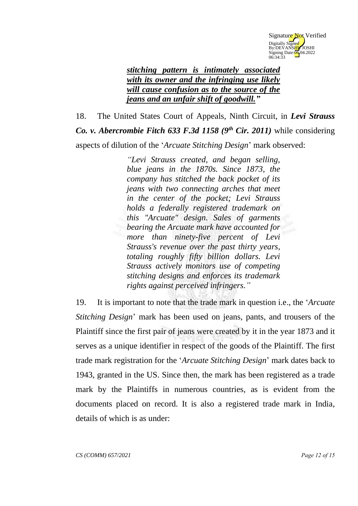

## *stitching pattern is intimately associated with its owner and the infringing use likely will cause confusion as to the source of the jeans and an unfair shift of goodwill."*

18. The United States Court of Appeals, Ninth Circuit, in *Levi Strauss Co. v. Abercrombie Fitch 633 F.3d 1158 (9<sup>th</sup> Cir. 2011)* while considering aspects of dilution of the '*Arcuate Stitching Design*' mark observed:

> *"Levi Strauss created, and began selling, blue jeans in the 1870s. Since 1873, the company has stitched the back pocket of its jeans with two connecting arches that meet in the center of the pocket; Levi Strauss holds a federally registered trademark on this "Arcuate" design. Sales of garments bearing the Arcuate mark have accounted for more than ninety-five percent of Levi Strauss's revenue over the past thirty years, totaling roughly fifty billion dollars. Levi Strauss actively monitors use of competing stitching designs and enforces its trademark rights against perceived infringers."*

19. It is important to note that the trade mark in question i.e., the '*Arcuate Stitching Design*' mark has been used on jeans, pants, and trousers of the Plaintiff since the first pair of jeans were created by it in the year 1873 and it serves as a unique identifier in respect of the goods of the Plaintiff. The first trade mark registration for the '*Arcuate Stitching Design*' mark dates back to 1943, granted in the US. Since then, the mark has been registered as a trade mark by the Plaintiffs in numerous countries, as is evident from the documents placed on record. It is also a registered trade mark in India, details of which is as under: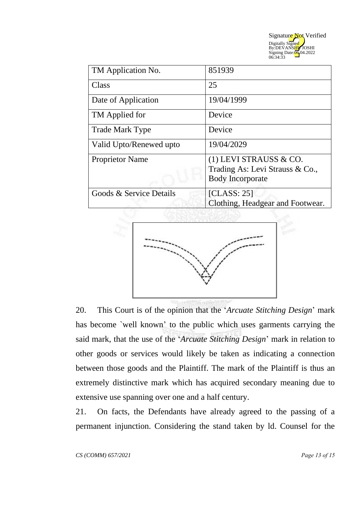

| TM Application No.      | 851939                                                                               |
|-------------------------|--------------------------------------------------------------------------------------|
| Class                   | 25                                                                                   |
| Date of Application     | 19/04/1999                                                                           |
| TM Applied for          | Device                                                                               |
| <b>Trade Mark Type</b>  | Device                                                                               |
| Valid Upto/Renewed upto | 19/04/2029                                                                           |
| <b>Proprietor Name</b>  | (1) LEVI STRAUSS & CO.<br>Trading As: Levi Strauss & Co.,<br><b>Body Incorporate</b> |
| Goods & Service Details | [CLASS: 25]<br>Clothing, Headgear and Footwear.                                      |



20. This Court is of the opinion that the '*Arcuate Stitching Design*' mark has become `well known' to the public which uses garments carrying the said mark, that the use of the '*Arcuate Stitching Design*' mark in relation to other goods or services would likely be taken as indicating a connection between those goods and the Plaintiff. The mark of the Plaintiff is thus an extremely distinctive mark which has acquired secondary meaning due to extensive use spanning over one and a half century.

21. On facts, the Defendants have already agreed to the passing of a permanent injunction. Considering the stand taken by ld. Counsel for the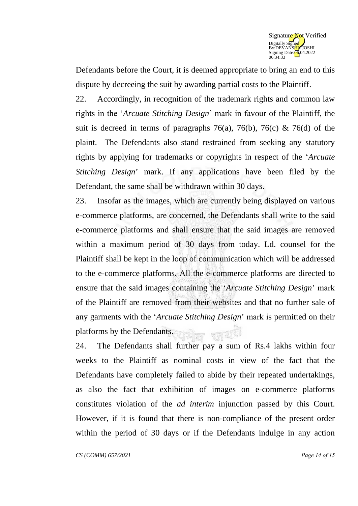

Defendants before the Court, it is deemed appropriate to bring an end to this dispute by decreeing the suit by awarding partial costs to the Plaintiff.

22. Accordingly, in recognition of the trademark rights and common law rights in the '*Arcuate Stitching Design*' mark in favour of the Plaintiff, the suit is decreed in terms of paragraphs 76(a), 76(b), 76(c) & 76(d) of the plaint. The Defendants also stand restrained from seeking any statutory rights by applying for trademarks or copyrights in respect of the '*Arcuate Stitching Design*' mark. If any applications have been filed by the Defendant, the same shall be withdrawn within 30 days.

23. Insofar as the images, which are currently being displayed on various e-commerce platforms, are concerned, the Defendants shall write to the said e-commerce platforms and shall ensure that the said images are removed within a maximum period of 30 days from today. Ld. counsel for the Plaintiff shall be kept in the loop of communication which will be addressed to the e-commerce platforms. All the e-commerce platforms are directed to ensure that the said images containing the '*Arcuate Stitching Design*' mark of the Plaintiff are removed from their websites and that no further sale of any garments with the '*Arcuate Stitching Design*' mark is permitted on their platforms by the Defendants. 중심신

24. The Defendants shall further pay a sum of Rs.4 lakhs within four weeks to the Plaintiff as nominal costs in view of the fact that the Defendants have completely failed to abide by their repeated undertakings, as also the fact that exhibition of images on e-commerce platforms constitutes violation of the *ad interim* injunction passed by this Court. However, if it is found that there is non-compliance of the present order within the period of 30 days or if the Defendants indulge in any action